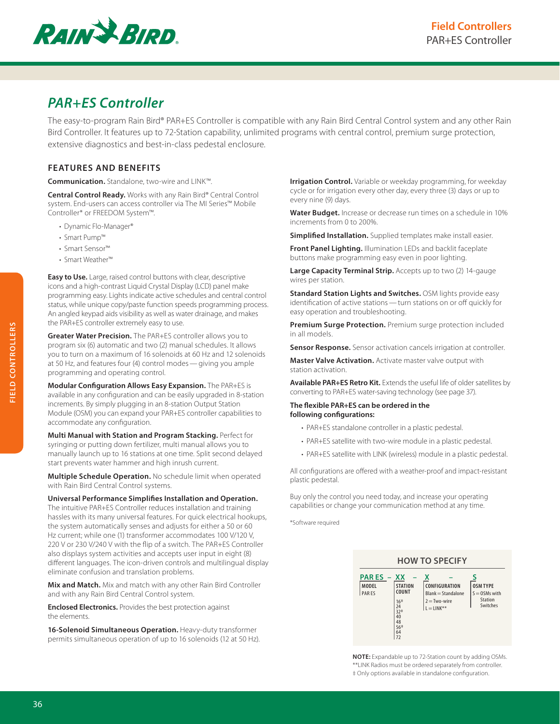

# *PAR+ES Controller*

The easy-to-program Rain Bird® PAR+ES Controller is compatible with any Rain Bird Central Control system and any other Rain Bird Controller. It features up to 72-Station capability, unlimited programs with central control, premium surge protection, extensive diagnostics and best-in-class pedestal enclosure.

## **FEATURES AND BENEFITS**

**Communication.** Standalone, two-wire and LINK™.

**Central Control Ready.** Works with any Rain Bird® Central Control system. End-users can access controller via The MI Series™ Mobile Controller\* or FREEDOM System™.

- Dynamic Flo-Manager®
- Smart Pump™
- Smart Sensor™
- Smart Weather™

**Easy to Use.** Large, raised control buttons with clear, descriptive icons and a high-contrast Liquid Crystal Display (LCD) panel make programming easy. Lights indicate active schedules and central control status, while unique copy/paste function speeds programming process. An angled keypad aids visibility as well as water drainage, and makes the PAR+ES controller extremely easy to use.

**Greater Water Precision.** The PAR+ES controller allows you to program six (6) automatic and two (2) manual schedules. It allows you to turn on a maximum of 16 solenoids at 60 Hz and 12 solenoids at 50 Hz, and features four (4) control modes—giving you ample programming and operating control.

**Modular Configuration Allows Easy Expansion.** The PAR+ES is available in any configuration and can be easily upgraded in 8-station increments. By simply plugging in an 8-station Output Station Module (OSM) you can expand your PAR+ES controller capabilities to accommodate any configuration.

**Multi Manual with Station and Program Stacking.** Perfect for syringing or putting down fertilizer, multi manual allows you to manually launch up to 16 stations at one time. Split second delayed start prevents water hammer and high inrush current.

**Multiple Schedule Operation.** No schedule limit when operated with Rain Bird Central Control systems.

**Universal Performance Simplifies Installation and Operation.** The intuitive PAR+ES Controller reduces installation and training hassles with its many universal features. For quick electrical hookups, the system automatically senses and adjusts for either a 50 or 60 Hz current; while one (1) transformer accommodates 100 V/120 V, 220 V or 230 V/240 V with the flip of a switch. The PAR+ES Controller also displays system activities and accepts user input in eight (8) different languages. The icon-driven controls and multilingual display eliminate confusion and translation problems.

**Mix and Match.** Mix and match with any other Rain Bird Controller and with any Rain Bird Central Control system.

**Enclosed Electronics.** Provides the best protection against the elements.

**16-Solenoid Simultaneous Operation.** Heavy-duty transformer permits simultaneous operation of up to 16 solenoids (12 at 50 Hz). **Irrigation Control.** Variable or weekday programming, for weekday cycle or for irrigation every other day, every three (3) days or up to every nine (9) days.

**Water Budget.** Increase or decrease run times on a schedule in 10% increments from 0 to 200%.

**Simplified Installation.** Supplied templates make install easier.

**Front Panel Lighting.** Illumination LEDs and backlit faceplate buttons make programming easy even in poor lighting.

**Large Capacity Terminal Strip.** Accepts up to two (2) 14-gauge wires per station.

**Standard Station Lights and Switches.** OSM lights provide easy identification of active stations—turn stations on or off quickly for easy operation and troubleshooting.

**Premium Surge Protection.** Premium surge protection included in all models.

**Sensor Response.** Sensor activation cancels irrigation at controller.

**Master Valve Activation.** Activate master valve output with station activation.

**Available PAR+ES Retro Kit.** Extends the useful life of older satellites by converting to PAR+ES water-saving technology (see page 37).

#### **The flexible PAR+ES can be ordered in the following configurations:**

- PAR+ES standalone controller in a plastic pedestal.
- PAR+ES satellite with two-wire module in a plastic pedestal.
- PAR+ES satellite with LINK (wireless) module in a plastic pedestal.

All configurations are offered with a weather-proof and impact-resistant plastic pedestal.

Buy only the control you need today, and increase your operating capabilities or change your communication method at any time.

\*Software required



**NOTE:** Expandable up to 72-Station count by adding OSMs. \*\*LINK Radios must be ordered separately from controller. ‡ Only options available in standalone configuration.